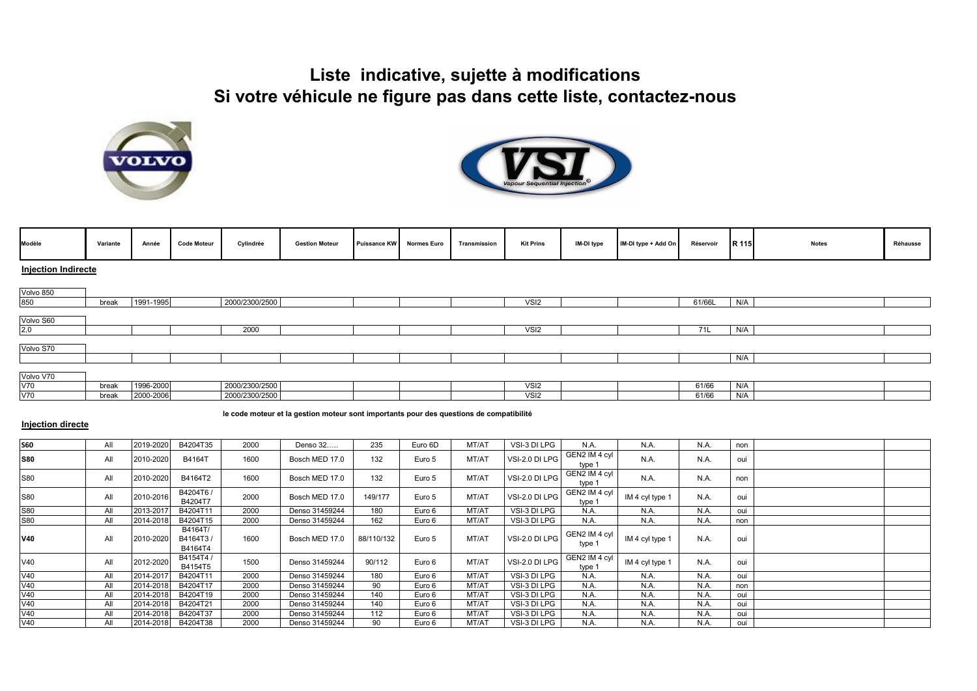## **Liste indicative, sujette à modifications Si votre véhicule ne figure pas dans cette liste, contactez-nous**





| Modèle    | Variante                   | Année     | <b>Code Moteur</b> | Cylindrée      | <b>Gestion Moteur</b> | Puissance KW Normes Euro |  | Transmission | <b>Kit Prins</b> | IM-DI type | IM-DI type + Add On | Réservoir | R 115 | <b>Notes</b> | Réhausse |
|-----------|----------------------------|-----------|--------------------|----------------|-----------------------|--------------------------|--|--------------|------------------|------------|---------------------|-----------|-------|--------------|----------|
|           | <b>Injection Indirecte</b> |           |                    |                |                       |                          |  |              |                  |            |                     |           |       |              |          |
| Volvo 850 |                            |           |                    |                |                       |                          |  |              |                  |            |                     |           |       |              |          |
| 850       | break                      | 1991-1995 |                    | 2000/2300/2500 |                       |                          |  |              | VSI <sub>2</sub> |            |                     | 61/66L    | N/A   |              |          |
| Volvo S60 |                            |           |                    |                |                       |                          |  |              |                  |            |                     |           |       |              |          |
| 2,0       |                            |           |                    | 2000           |                       |                          |  |              | VSI <sub>2</sub> |            |                     | 71L       | N/A   |              |          |
| Volvo S70 |                            |           |                    |                |                       |                          |  |              |                  |            |                     |           |       |              |          |
|           |                            |           |                    |                |                       |                          |  |              |                  |            |                     |           | N/A   |              |          |
| Volvo V70 |                            |           |                    |                |                       |                          |  |              |                  |            |                     |           |       |              |          |
| V70       | break                      | 1996-2000 |                    | 2000/2300/2500 |                       |                          |  |              | VSI <sub>2</sub> |            |                     | 61/66     | N/A   |              |          |
| V70       | break                      | 2000-2006 |                    | 2000/2300/2500 |                       |                          |  |              | VSI <sub>2</sub> |            |                     | 61/66     | N/A   |              |          |

**le code moteur et la gestion moteur sont importants pour des questions de compatibilité** 

## **Injection directe**

| <b>S60</b> | All | 2019-2020 | B4204T35                       | 2000 | Denso 32       | 235        | Euro 6D | MT/AT | VSI-3 DI LPG   | N.A.                    | N.A.            | N.A.        | non |  |
|------------|-----|-----------|--------------------------------|------|----------------|------------|---------|-------|----------------|-------------------------|-----------------|-------------|-----|--|
| <b>S80</b> | All | 2010-2020 | B4164T                         | 1600 | Bosch MED 17.0 | 132        | Euro 5  | MT/AT | VSI-2.0 DI LPG | GEN2 IM 4 cyl<br>type 1 | N.A.            | <b>N.A.</b> | oui |  |
| S80        | All | 2010-2020 | B4164T2                        | 1600 | Bosch MED 17.0 | 132        | Euro 5  | MT/AT | VSI-2.0 DI LPG | GEN2 IM 4 cyl<br>type 1 | N.A.            | N.A.        | non |  |
| S80        | All | 2010-2016 | B4204T6 /<br>B4204T7           | 2000 | Bosch MED 17.0 | 149/177    | Euro 5  | MT/AT | VSI-2.0 DI LPG | GEN2 IM 4 cyl<br>type 1 | IM 4 cyl type 1 | N.A.        | oui |  |
| S80        | All | 2013-2017 | B4204T11                       | 2000 | Denso 31459244 | 180        | Euro 6  | MT/AT | VSI-3 DI LPG   | N.A.                    | N.A.            | N.A.        | oui |  |
| S80        | All | 2014-2018 | B4204T15                       | 2000 | Denso 31459244 | 162        | Euro 6  | MT/AT | VSI-3 DI LPG   | N.A.                    | N.A.            | N.A.        | non |  |
| <b>V40</b> | All | 2010-2020 | B4164T/<br>B4164T3/<br>B4164T4 | 1600 | Bosch MED 17.0 | 88/110/132 | Euro 5  | MT/AT | VSI-2.0 DI LPG | GEN2 IM 4 cyl<br>type 1 | IM 4 cyl type 1 | N.A.        | oui |  |
| V40        | All | 2012-2020 | B4154T4 /<br>B4154T5           | 1500 | Denso 31459244 | 90/112     | Euro 6  | MT/AT | VSI-2.0 DI LPG | GEN2 IM 4 cyl<br>type 1 | IM 4 cyl type 1 | N.A.        | oui |  |
| V40        | All | 2014-2017 | B4204T11                       | 2000 | Denso 31459244 | 180        | Euro 6  | MT/AT | VSI-3 DI LPG   | N.A.                    | N.A.            | N.A.        | oui |  |
| V40        | All | 2014-2018 | B4204T17                       | 2000 | Denso 31459244 | 90         | Euro 6  | MT/AT | VSI-3 DI LPG   | N.A.                    | N.A.            | N.A.        | non |  |
| V40        | All | 2014-2018 | B4204T19                       | 2000 | Denso 31459244 | 140        | Euro 6  | MT/AT | VSI-3 DI LPG   | N.A.                    | N.A.            | N.A.        | oui |  |
| V40        | All | 2014-2018 | B4204T21                       | 2000 | Denso 31459244 | 140        | Euro 6  | MT/AT | VSI-3 DI LPG   | N.A                     | N.A.            | N.A.        | oui |  |
| V40        | All | 2014-2018 | B4204T37                       | 2000 | Denso 31459244 | 112        | Euro 6  | MT/AT | VSI-3 DI LPG   | N.A.                    | N.A.            | N.A.        | oui |  |
| V40        | All | 2014-2018 | B4204T38                       | 2000 | Denso 31459244 | 90         | Euro 6  | MT/AT | VSI-3 DI LPG   | N.A                     | N.A.            | N.A.        | oui |  |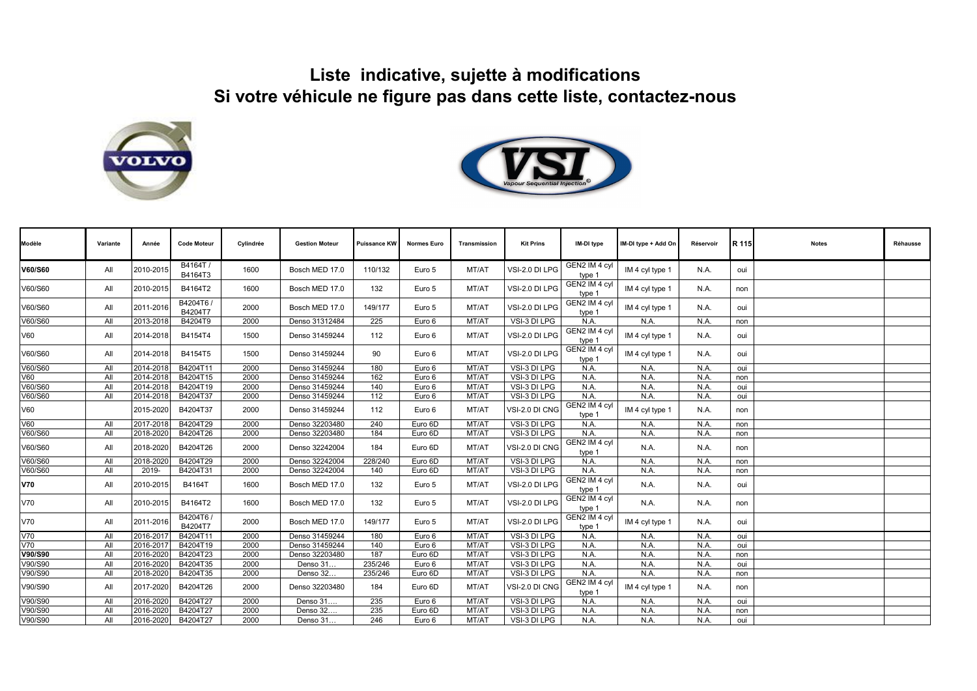## **Liste indicative, sujette à modifications Si votre véhicule ne figure pas dans cette liste, contactez-nous**





| Modèle     | Variante | Année     | <b>Code Moteur</b>   | Cylindrée | <b>Gestion Moteur</b> | <b>Puissance KW</b> | <b>Normes Euro</b> | Transmission | <b>Kit Prins</b> | IM-DI type              | IM-DI type + Add On | Réservoir | R 115 | <b>Notes</b> | Réhausse |
|------------|----------|-----------|----------------------|-----------|-----------------------|---------------------|--------------------|--------------|------------------|-------------------------|---------------------|-----------|-------|--------------|----------|
| V60/S60    | All      | 2010-2015 | B4164T/<br>B4164T3   | 1600      | Bosch MED 17.0        | 110/132             | Euro 5             | MT/AT        | VSI-2.0 DI LPG   | GEN2 IM 4 cyl<br>type 1 | IM 4 cyl type 1     | N.A.      | oui   |              |          |
| V60/S60    | All      | 2010-2015 | B4164T2              | 1600      | Bosch MED 17.0        | 132                 | Euro 5             | MT/AT        | VSI-2.0 DI LPG   | GEN2 IM 4 cyl<br>type 1 | IM 4 cyl type 1     | N.A.      | non   |              |          |
| V60/S60    | All      | 2011-2016 | B4204T6/<br>B4204T7  | 2000      | Bosch MED 17.0        | 149/177             | Euro 5             | MT/AT        | VSI-2.0 DI LPG   | GEN2 IM 4 cyl<br>type 1 | IM 4 cyl type 1     | N.A.      | oui   |              |          |
| V60/S60    | All      | 2013-2018 | B4204T9              | 2000      | Denso 31312484        | 225                 | Euro 6             | MT/AT        | VSI-3 DI LPG     | N.A.                    | N.A.                | N.A.      | non   |              |          |
| V60        | All      | 2014-2018 | B4154T4              | 1500      | Denso 31459244        | 112                 | Euro 6             | MT/AT        | VSI-2.0 DI LPG   | GEN2 IM 4 cyl<br>type 1 | IM 4 cyl type 1     | N.A.      | oui   |              |          |
| V60/S60    | All      | 2014-2018 | B4154T5              | 1500      | Denso 31459244        | 90                  | Euro 6             | MT/AT        | VSI-2.0 DI LPG   | GEN2 IM 4 cyl<br>type 1 | IM 4 cyl type 1     | N.A.      | oui   |              |          |
| V60/S60    | All      | 2014-2018 | B4204T11             | 2000      | Denso 31459244        | 180                 | Euro 6             | MT/AT        | VSI-3 DI LPG     | N.A.                    | N.A.                | N.A.      | oui   |              |          |
| V60        | All      | 2014-2018 | B4204T15             | 2000      | Denso 31459244        | 162                 | Euro 6             | MT/AT        | VSI-3 DI LPG     | N.A.                    | N.A.                | N.A.      | non   |              |          |
| V60/S60    | All      | 2014-2018 | B4204T19             | 2000      | Denso 31459244        | 140                 | Euro 6             | MT/AT        | VSI-3 DI LPG     | N.A.                    | N.A.                | N.A.      | oui   |              |          |
| V60/S60    | All      | 2014-2018 | B4204T37             | 2000      | Denso 31459244        | 112                 | Euro 6             | MT/AT        | VSI-3 DI LPG     | N.A.                    | N.A.                | N.A.      | oui   |              |          |
| V60        |          | 2015-2020 | B4204T37             | 2000      | Denso 31459244        | 112                 | Euro 6             | MT/AT        | VSI-2.0 DI CNG   | GEN2 IM 4 cyl<br>type 1 | IM 4 cyl type 1     | N.A.      | non   |              |          |
| V60        | All      | 2017-2018 | B4204T29             | 2000      | Denso 32203480        | 240                 | Euro 6D            | MT/AT        | VSI-3 DI LPG     | N.A.                    | N.A.                | N.A.      | non   |              |          |
| V60/S60    | All      | 2018-2020 | B4204T26             | 2000      | Denso 32203480        | 184                 | Euro 6D            | MT/AT        | VSI-3 DI LPG     | N.A.                    | N.A.                | N.A.      | non   |              |          |
| V60/S60    | All      | 2018-2020 | B4204T26             | 2000      | Denso 32242004        | 184                 | Euro 6D            | MT/AT        | VSI-2.0 DI CNG   | GEN2 IM 4 cyl<br>type 1 | N.A.                | N.A.      | non   |              |          |
| V60/S60    | All      | 2018-2020 | B4204T29             | 2000      | Denso 32242004        | 228/240             | Euro 6D            | MT/AT        | VSI-3 DI LPG     | N.A.                    | N.A.                | N.A       | non   |              |          |
| V60/S60    | All      | 2019-     | B4204T31             | 2000      | Denso 32242004        | 140                 | Euro 6D            | MT/AT        | VSI-3 DI LPG     | N.A.                    | N.A.                | N.A.      | non   |              |          |
| <b>V70</b> | All      | 2010-2015 | B4164T               | 1600      | Bosch MED 17.0        | 132                 | Euro 5             | MT/AT        | VSI-2.0 DI LPG   | GEN2 IM 4 cyl<br>type 1 | N.A.                | N.A.      | oui   |              |          |
| V70        | All      | 2010-2015 | B4164T2              | 1600      | Bosch MED 17.0        | 132                 | Euro 5             | MT/AT        | VSI-2.0 DI LPG   | GEN2 IM 4 cyl<br>type 1 | N.A.                | N.A.      | non   |              |          |
| V70        | All      | 2011-2016 | B4204T6 /<br>B4204T7 | 2000      | Bosch MED 17.0        | 149/177             | Euro 5             | MT/AT        | VSI-2.0 DI LPG   | GEN2 IM 4 cyl<br>type 1 | IM 4 cyl type 1     | N.A.      | oui   |              |          |
| V70        | All      | 2016-2017 | B4204T11             | 2000      | Denso 31459244        | 180                 | Euro 6             | MT/AT        | VSI-3 DI LPG     | N.A.                    | N.A.                | N.A.      | oui   |              |          |
| V70        | All      | 2016-2017 | B4204T19             | 2000      | Denso 31459244        | 140                 | Euro 6             | MT/AT        | VSI-3 DI LPG     | N.A.                    | N.A.                | N.A.      | oui   |              |          |
| V90/S90    | All      | 2016-2020 | B4204T23             | 2000      | Denso 32203480        | 187                 | Euro 6D            | MT/AT        | VSI-3 DI LPG     | N.A.                    | N.A.                | N.A.      | non   |              |          |
| V90/S90    | All      | 2016-2020 | B4204T35             | 2000      | Denso 31.             | 235/246             | Euro 6             | MT/AT        | VSI-3 DI LPG     | N.A.                    | N.A.                | N.A.      | oui   |              |          |
| V90/S90    | All      | 2018-2020 | B4204T35             | 2000      | Denso 32              | 235/246             | Euro 6D            | MT/AT        | VSI-3 DI LPG     | N.A.                    | N.A.                | N.A.      | non   |              |          |
| V90/S90    | All      | 2017-2020 | B4204T26             | 2000      | Denso 32203480        | 184                 | Euro 6D            | MT/AT        | VSI-2.0 DI CNG   | GEN2 IM 4 cyl<br>type 1 | IM 4 cyl type 1     | N.A.      | non   |              |          |
| V90/S90    | All      | 2016-2020 | B4204T27             | 2000      | Denso 31.             | 235                 | Euro 6             | MT/AT        | VSI-3 DI LPG     | N.A.                    | N.A.                | N.A.      | oui   |              |          |
| V90/S90    | All      | 2016-2020 | B4204T27             | 2000      | Denso 32              | 235                 | Euro 6D            | MT/AT        | VSI-3 DI LPG     | N.A.                    | N.A.                | N.A.      | non   |              |          |
| V90/S90    | All      | 2016-2020 | B4204T27             | 2000      | Denso 31              | 246                 | Euro 6             | MT/AT        | VSI-3 DI LPG     | N.A.                    | N.A.                | N.A.      | oui   |              |          |